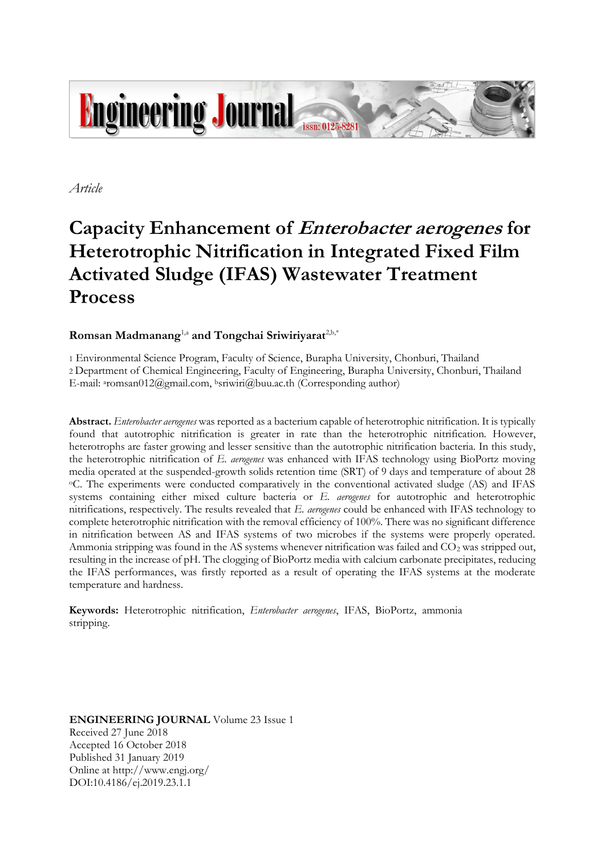

*Article*

# **Capacity Enhancement of Enterobacter aerogenes for Heterotrophic Nitrification in Integrated Fixed Film Activated Sludge (IFAS) Wastewater Treatment Process**

# **Romsan Madmanang**1,a **and Tongchai Sriwiriyarat**2,b,\*

1 Environmental Science Program, Faculty of Science, Burapha University, Chonburi, Thailand 2 Department of Chemical Engineering, Faculty of Engineering, Burapha University, Chonburi, Thailand E-mail: aromsan012@gmail.com, bsriwiri@buu.ac.th (Corresponding author)

**Abstract.** *Enterobacter aerogenes* was reported as a bacterium capable of heterotrophic nitrification. It is typically found that autotrophic nitrification is greater in rate than the heterotrophic nitrification. However, heterotrophs are faster growing and lesser sensitive than the autotrophic nitrification bacteria. In this study, the heterotrophic nitrification of *E. aerogenes* was enhanced with IFAS technology using BioPortz moving media operated at the suspended-growth solids retention time (SRT) of 9 days and temperature of about 28 <sup>o</sup>C. The experiments were conducted comparatively in the conventional activated sludge (AS) and IFAS systems containing either mixed culture bacteria or *E. aerogenes* for autotrophic and heterotrophic nitrifications, respectively. The results revealed that *E. aerogenes* could be enhanced with IFAS technology to complete heterotrophic nitrification with the removal efficiency of 100%. There was no significant difference in nitrification between AS and IFAS systems of two microbes if the systems were properly operated. Ammonia stripping was found in the AS systems whenever nitrification was failed and  $CO<sub>2</sub>$  was stripped out, resulting in the increase of pH. The clogging of BioPortz media with calcium carbonate precipitates, reducing the IFAS performances, was firstly reported as a result of operating the IFAS systems at the moderate temperature and hardness.

**Keywords:** Heterotrophic nitrification, *Enterobacter aerogenes*, IFAS, BioPortz, ammonia stripping.

**ENGINEERING JOURNAL** Volume 23 Issue 1 Received 27 June 2018 Accepted 16 October 2018 Published 31 January 2019 Online at http://www.engj.org/ DOI:10.4186/ej.2019.23.1.1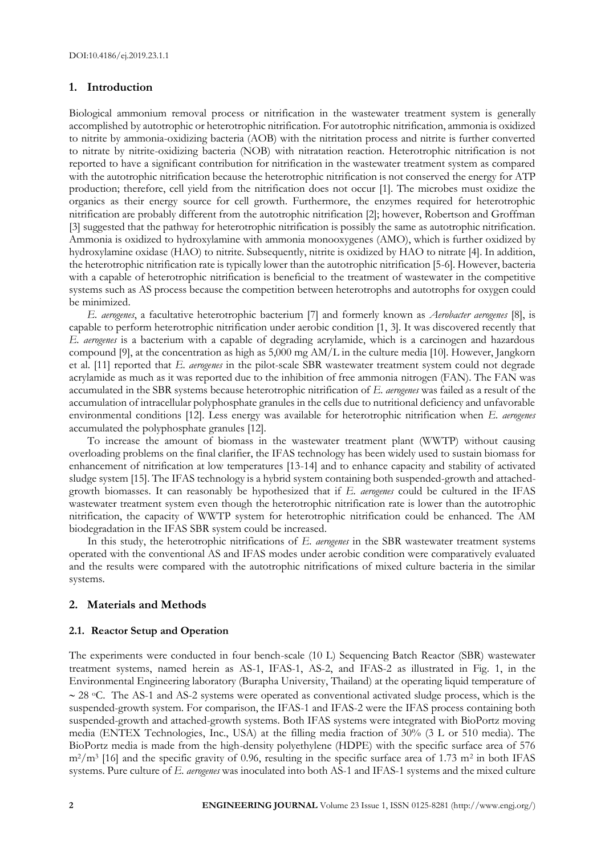#### **1. Introduction**

Biological ammonium removal process or nitrification in the wastewater treatment system is generally accomplished by autotrophic or heterotrophic nitrification. For autotrophic nitrification, ammonia is oxidized to nitrite by ammonia-oxidizing bacteria (AOB) with the nitritation process and nitrite is further converted to nitrate by nitrite-oxidizing bacteria (NOB) with nitratation reaction. Heterotrophic nitrification is not reported to have a significant contribution for nitrification in the wastewater treatment system as compared with the autotrophic nitrification because the heterotrophic nitrification is not conserved the energy for ATP production; therefore, cell yield from the nitrification does not occur [1]. The microbes must oxidize the organics as their energy source for cell growth. Furthermore, the enzymes required for heterotrophic nitrification are probably different from the autotrophic nitrification [2]; however, Robertson and Groffman [3] suggested that the pathway for heterotrophic nitrification is possibly the same as autotrophic nitrification. Ammonia is oxidized to hydroxylamine with ammonia monooxygenes (AMO), which is further oxidized by hydroxylamine oxidase (HAO) to nitrite. Subsequently, nitrite is oxidized by HAO to nitrate [4]. In addition, the heterotrophic nitrification rate is typically lower than the autotrophic nitrification [5-6]. However, bacteria with a capable of heterotrophic nitrification is beneficial to the treatment of wastewater in the competitive systems such as AS process because the competition between heterotrophs and autotrophs for oxygen could be minimized.

*E. aerogenes*, a facultative heterotrophic bacterium [7] and formerly known as *Aerobacter aerogenes* [8], is capable to perform heterotrophic nitrification under aerobic condition [1, 3]. It was discovered recently that *E. aerogenes* is a bacterium with a capable of degrading acrylamide, which is a carcinogen and hazardous compound [9], at the concentration as high as 5,000 mg AM/L in the culture media [10]. However, Jangkorn et al. [11] reported that *E. aerogenes* in the pilot-scale SBR wastewater treatment system could not degrade acrylamide as much as it was reported due to the inhibition of free ammonia nitrogen (FAN). The FAN was accumulated in the SBR systems because heterotrophic nitrification of *E. aerogenes* was failed as a result of the accumulation of intracellular polyphosphate granules in the cells due to nutritional deficiency and unfavorable environmental conditions [12]. Less energy was available for heterotrophic nitrification when *E. aerogenes* accumulated the polyphosphate granules [12].

To increase the amount of biomass in the wastewater treatment plant (WWTP) without causing overloading problems on the final clarifier, the IFAS technology has been widely used to sustain biomass for enhancement of nitrification at low temperatures [13-14] and to enhance capacity and stability of activated sludge system [15]. The IFAS technology is a hybrid system containing both suspended-growth and attachedgrowth biomasses. It can reasonably be hypothesized that if *E. aerogenes* could be cultured in the IFAS wastewater treatment system even though the heterotrophic nitrification rate is lower than the autotrophic nitrification, the capacity of WWTP system for heterotrophic nitrification could be enhanced. The AM biodegradation in the IFAS SBR system could be increased.

In this study, the heterotrophic nitrifications of *E. aerogenes* in the SBR wastewater treatment systems operated with the conventional AS and IFAS modes under aerobic condition were comparatively evaluated and the results were compared with the autotrophic nitrifications of mixed culture bacteria in the similar systems.

#### **2. Materials and Methods**

#### **2.1. Reactor Setup and Operation**

The experiments were conducted in four bench-scale (10 L) Sequencing Batch Reactor (SBR) wastewater treatment systems, named herein as AS-1, IFAS-1, AS-2, and IFAS-2 as illustrated in Fig. 1, in the Environmental Engineering laboratory (Burapha University, Thailand) at the operating liquid temperature of  $\sim$  28 °C. The AS-1 and AS-2 systems were operated as conventional activated sludge process, which is the suspended-growth system. For comparison, the IFAS-1 and IFAS-2 were the IFAS process containing both suspended-growth and attached-growth systems. Both IFAS systems were integrated with BioPortz moving media (ENTEX Technologies, Inc., USA) at the filling media fraction of 30% (3 L or 510 media). The BioPortz media is made from the high-density polyethylene (HDPE) with the specific surface area of 576 m<sup>2</sup>/m<sup>3</sup> [16] and the specific gravity of 0.96, resulting in the specific surface area of 1.73 m<sup>2</sup> in both IFAS systems. Pure culture of *E. aerogenes* was inoculated into both AS-1 and IFAS-1 systems and the mixed culture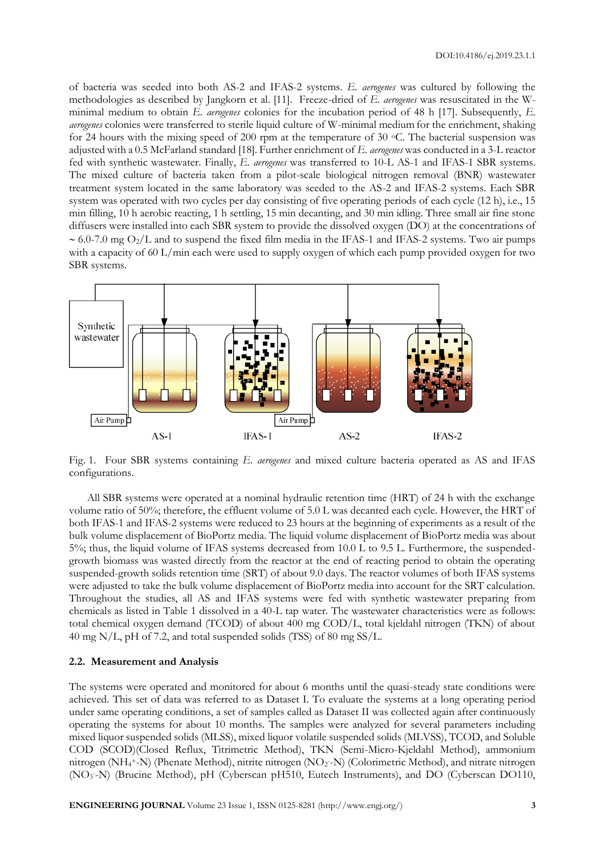of bacteria was seeded into both AS-2 and IFAS-2 systems. *E. aerogenes* was cultured by following the methodologies as described by Jangkorn et al. [11]. Freeze-dried of *E. aerogenes* was resuscitated in the Wminimal medium to obtain *E. aerogenes* colonies for the incubation period of 48 h [17]. Subsequently, *E. aerogenes* colonies were transferred to sterile liquid culture of W-minimal medium for the enrichment, shaking for 24 hours with the mixing speed of 200 rpm at the temperature of 30  $\degree$ C. The bacterial suspension was adjusted with a 0.5 McFarland standard [18]. Further enrichment of *E. aerogenes* was conducted in a 3-L reactor fed with synthetic wastewater. Finally, *E. aerogenes* was transferred to 10-L AS-1 and IFAS-1 SBR systems. The mixed culture of bacteria taken from a pilot-scale biological nitrogen removal (BNR) wastewater treatment system located in the same laboratory was seeded to the AS-2 and IFAS-2 systems. Each SBR system was operated with two cycles per day consisting of five operating periods of each cycle (12 h), i.e., 15 min filling, 10 h aerobic reacting, 1 h settling, 15 min decanting, and 30 min idling. Three small air fine stone diffusers were installed into each SBR system to provide the dissolved oxygen (DO) at the concentrations of  $\sim$  6.0-7.0 mg O<sub>2</sub>/L and to suspend the fixed film media in the IFAS-1 and IFAS-2 systems. Two air pumps with a capacity of 60 L/min each were used to supply oxygen of which each pump provided oxygen for two SBR systems.



Fig. 1. Four SBR systems containing *E. aerogenes* and mixed culture bacteria operated as AS and IFAS configurations.

All SBR systems were operated at a nominal hydraulic retention time (HRT) of 24 h with the exchange volume ratio of 50%; therefore, the effluent volume of 5.0 L was decanted each cycle. However, the HRT of both IFAS-1 and IFAS-2 systems were reduced to 23 hours at the beginning of experiments as a result of the bulk volume displacement of BioPortz media. The liquid volume displacement of BioPortz media was about 5%; thus, the liquid volume of IFAS systems decreased from 10.0 L to 9.5 L. Furthermore, the suspendedgrowth biomass was wasted directly from the reactor at the end of reacting period to obtain the operating suspended-growth solids retention time (SRT) of about 9.0 days. The reactor volumes of both IFAS systems were adjusted to take the bulk volume displacement of BioPortz media into account for the SRT calculation. Throughout the studies, all AS and IFAS systems were fed with synthetic wastewater preparing from chemicals as listed in Table 1 dissolved in a 40-L tap water. The wastewater characteristics were as follows: total chemical oxygen demand (TCOD) of about 400 mg COD/L, total kjeldahl nitrogen (TKN) of about 40 mg N/L, pH of 7.2, and total suspended solids (TSS) of 80 mg SS/L.

### **2.2. Measurement and Analysis**

The systems were operated and monitored for about 6 months until the quasi-steady state conditions were achieved. This set of data was referred to as Dataset I. To evaluate the systems at a long operating period under same operating conditions, a set of samples called as Dataset II was collected again after continuously operating the systems for about 10 months. The samples were analyzed for several parameters including mixed liquor suspended solids (MLSS), mixed liquor volatile suspended solids (MLVSS), TCOD, and Soluble COD (SCOD)(Closed Reflux, Titrimetric Method), TKN (Semi-Micro-Kjeldahl Method), ammonium nitrogen (NH<sub>4</sub>+-N) (Phenate Method), nitrite nitrogen (NO<sub>2</sub>-N) (Colorimetric Method), and nitrate nitrogen (NO<sub>3</sub>-N) (Brucine Method), pH (Cyberscan pH510, Eutech Instruments), and DO (Cyberscan DO110,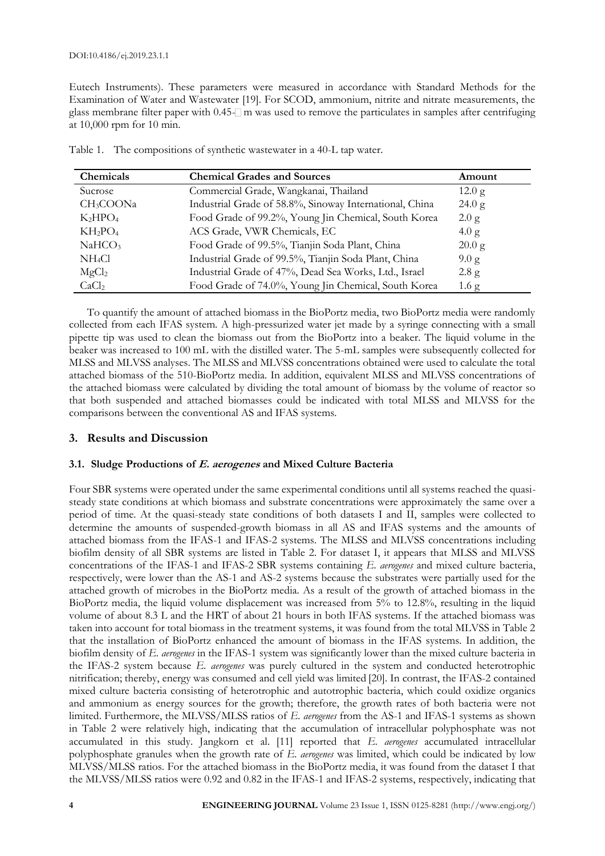Eutech Instruments). These parameters were measured in accordance with Standard Methods for the Examination of Water and Wastewater [19]. For SCOD, ammonium, nitrite and nitrate measurements, the glass membrane filter paper with  $0.45\text{-}$  m was used to remove the particulates in samples after centrifuging at 10,000 rpm for 10 min.

| Chemicals             | Amount                                                  |                  |
|-----------------------|---------------------------------------------------------|------------------|
| Sucrose               | Commercial Grade, Wangkanai, Thailand                   | 12.0 g           |
| CH <sub>3</sub> COONa | Industrial Grade of 58.8%, Sinoway International, China | 24.0 g           |
| $K_2HPO_4$            | Food Grade of 99.2%, Young Jin Chemical, South Korea    | 2.0 g            |
| $KH_2PO_4$            | ACS Grade, VWR Chemicals, EC                            | 4.0 g            |
| NaHCO <sub>3</sub>    | Food Grade of 99.5%, Tianjin Soda Plant, China          | $20.0$ g         |
| NH <sub>4</sub> Cl    | Industrial Grade of 99.5%, Tianjin Soda Plant, China    | 9.0 g            |
| MgCl <sub>2</sub>     | Industrial Grade of 47%, Dead Sea Works, Ltd., Israel   | 2.8 g            |
| CaCl <sub>2</sub>     | Food Grade of 74.0%, Young Jin Chemical, South Korea    | 1.6 <sub>g</sub> |

Table 1. The compositions of synthetic wastewater in a 40-L tap water.

To quantify the amount of attached biomass in the BioPortz media, two BioPortz media were randomly collected from each IFAS system. A high-pressurized water jet made by a syringe connecting with a small pipette tip was used to clean the biomass out from the BioPortz into a beaker. The liquid volume in the beaker was increased to 100 mL with the distilled water. The 5-mL samples were subsequently collected for MLSS and MLVSS analyses. The MLSS and MLVSS concentrations obtained were used to calculate the total attached biomass of the 510-BioPortz media. In addition, equivalent MLSS and MLVSS concentrations of the attached biomass were calculated by dividing the total amount of biomass by the volume of reactor so that both suspended and attached biomasses could be indicated with total MLSS and MLVSS for the comparisons between the conventional AS and IFAS systems.

## **3. Results and Discussion**

#### **3.1. Sludge Productions of E. aerogenes and Mixed Culture Bacteria**

Four SBR systems were operated under the same experimental conditions until all systems reached the quasisteady state conditions at which biomass and substrate concentrations were approximately the same over a period of time. At the quasi-steady state conditions of both datasets I and II, samples were collected to determine the amounts of suspended-growth biomass in all AS and IFAS systems and the amounts of attached biomass from the IFAS-1 and IFAS-2 systems. The MLSS and MLVSS concentrations including biofilm density of all SBR systems are listed in Table 2. For dataset I, it appears that MLSS and MLVSS concentrations of the IFAS-1 and IFAS-2 SBR systems containing *E. aerogenes* and mixed culture bacteria, respectively, were lower than the AS-1 and AS-2 systems because the substrates were partially used for the attached growth of microbes in the BioPortz media. As a result of the growth of attached biomass in the BioPortz media, the liquid volume displacement was increased from 5% to 12.8%, resulting in the liquid volume of about 8.3 L and the HRT of about 21 hours in both IFAS systems. If the attached biomass was taken into account for total biomass in the treatment systems, it was found from the total MLVSS in Table 2 that the installation of BioPortz enhanced the amount of biomass in the IFAS systems. In addition, the biofilm density of *E. aerogenes* in the IFAS-1 system was significantly lower than the mixed culture bacteria in the IFAS-2 system because *E. aerogenes* was purely cultured in the system and conducted heterotrophic nitrification; thereby, energy was consumed and cell yield was limited [20]. In contrast, the IFAS-2 contained mixed culture bacteria consisting of heterotrophic and autotrophic bacteria, which could oxidize organics and ammonium as energy sources for the growth; therefore, the growth rates of both bacteria were not limited. Furthermore, the MLVSS/MLSS ratios of *E. aerogenes* from the AS-1 and IFAS-1 systems as shown in Table 2 were relatively high, indicating that the accumulation of intracellular polyphosphate was not accumulated in this study. Jangkorn et al. [11] reported that *E. aerogenes* accumulated intracellular polyphosphate granules when the growth rate of *E. aerogenes* was limited, which could be indicated by low MLVSS/MLSS ratios. For the attached biomass in the BioPortz media, it was found from the dataset I that the MLVSS/MLSS ratios were 0.92 and 0.82 in the IFAS-1 and IFAS-2 systems, respectively, indicating that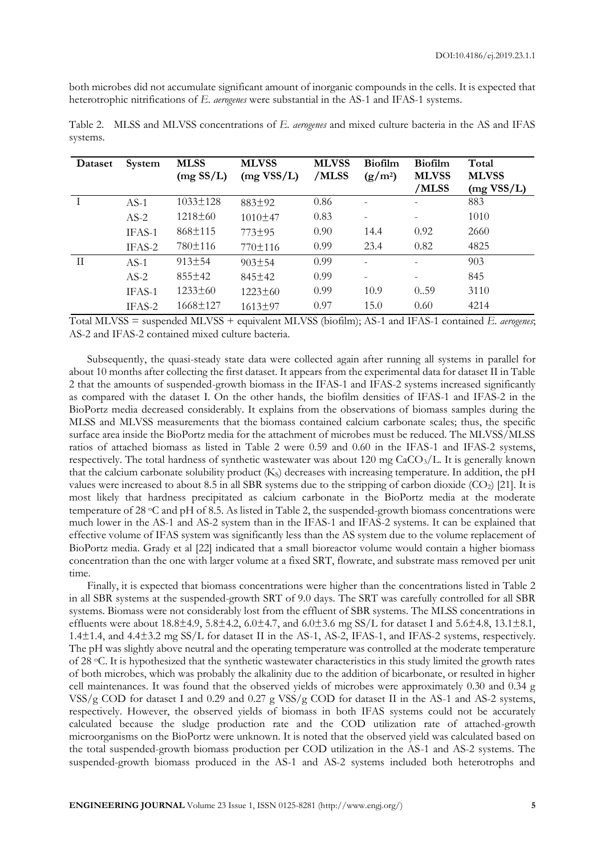both microbes did not accumulate significant amount of inorganic compounds in the cells. It is expected that heterotrophic nitrifications of *E. aerogenes* were substantial in the AS-1 and IFAS-1 systems.

| Dataset | System | <b>MLSS</b><br>(mg SSL) | <b>MLVSS</b><br>(mg VSS/L) | <b>MLVSS</b><br>/MLSS | <b>Biofilm</b><br>$(g/m^2)$ | <b>Biofilm</b><br><b>MLVSS</b><br>/MLSS | Total<br><b>MLVSS</b><br>(mg VSS/L) |
|---------|--------|-------------------------|----------------------------|-----------------------|-----------------------------|-----------------------------------------|-------------------------------------|
|         | $AS-1$ | $1033 \pm 128$          | 883±92                     | 0.86                  |                             |                                         | 883                                 |
|         | $AS-2$ | $1218 \pm 60$           | 1010±47                    | 0.83                  |                             |                                         | 1010                                |
|         | IFAS-1 | 868±115                 | 773±95                     | 0.90                  | 14.4                        | 0.92                                    | 2660                                |
|         | IFAS-2 | 780±116                 | 770±116                    | 0.99                  | 23.4                        | 0.82                                    | 4825                                |
| H       | $AS-1$ | 913±54                  | $903 \pm 54$               | 0.99                  |                             |                                         | 903                                 |
|         | $AS-2$ | $855 \pm 42$            | 845±42                     | 0.99                  |                             |                                         | 845                                 |
|         | IFAS-1 | $1233 \pm 60$           | $1223 \pm 60$              | 0.99                  | 10.9                        | 0.59                                    | 3110                                |
|         | IFAS-2 | 1668±127                | 1613±97                    | 0.97                  | 15.0                        | 0.60                                    | 4214                                |

Table 2. MLSS and MLVSS concentrations of *E. aerogenes* and mixed culture bacteria in the AS and IFAS systems.

Total MLVSS = suspended MLVSS + equivalent MLVSS (biofilm); AS-1 and IFAS-1 contained *E. aerogenes*; AS-2 and IFAS-2 contained mixed culture bacteria.

Subsequently, the quasi-steady state data were collected again after running all systems in parallel for about 10 months after collecting the first dataset. It appears from the experimental data for dataset II in Table 2 that the amounts of suspended-growth biomass in the IFAS-1 and IFAS-2 systems increased significantly as compared with the dataset I. On the other hands, the biofilm densities of IFAS-1 and IFAS-2 in the BioPortz media decreased considerably. It explains from the observations of biomass samples during the MLSS and MLVSS measurements that the biomass contained calcium carbonate scales; thus, the specific surface area inside the BioPortz media for the attachment of microbes must be reduced. The MLVSS/MLSS ratios of attached biomass as listed in Table 2 were 0.59 and 0.60 in the IFAS-1 and IFAS-2 systems, respectively. The total hardness of synthetic wastewater was about 120 mg CaCO<sub>3</sub>/L. It is generally known that the calcium carbonate solubility product (Ks) decreases with increasing temperature. In addition, the pH values were increased to about 8.5 in all SBR systems due to the stripping of carbon dioxide  $(CO<sub>2</sub>)$  [21]. It is most likely that hardness precipitated as calcium carbonate in the BioPortz media at the moderate temperature of 28  $\degree$ C and pH of 8.5. As listed in Table 2, the suspended-growth biomass concentrations were much lower in the AS-1 and AS-2 system than in the IFAS-1 and IFAS-2 systems. It can be explained that effective volume of IFAS system was significantly less than the AS system due to the volume replacement of BioPortz media. Grady et al [22] indicated that a small bioreactor volume would contain a higher biomass concentration than the one with larger volume at a fixed SRT, flowrate, and substrate mass removed per unit time.

Finally, it is expected that biomass concentrations were higher than the concentrations listed in Table 2 in all SBR systems at the suspended-growth SRT of 9.0 days. The SRT was carefully controlled for all SBR systems. Biomass were not considerably lost from the effluent of SBR systems. The MLSS concentrations in effluents were about 18.8±4.9, 5.8±4.2, 6.0±4.7, and 6.0±3.6 mg SS/L for dataset I and 5.6±4.8, 13.1±8.1, 1.4±1.4, and 4.4±3.2 mg SS/L for dataset II in the AS-1, AS-2, IFAS-1, and IFAS-2 systems, respectively. The pH was slightly above neutral and the operating temperature was controlled at the moderate temperature of 28 oC. It is hypothesized that the synthetic wastewater characteristics in this study limited the growth rates of both microbes, which was probably the alkalinity due to the addition of bicarbonate, or resulted in higher cell maintenances. It was found that the observed yields of microbes were approximately 0.30 and 0.34 g VSS/g COD for dataset I and 0.29 and 0.27 g VSS/g COD for dataset II in the AS-1 and AS-2 systems, respectively. However, the observed yields of biomass in both IFAS systems could not be accurately calculated because the sludge production rate and the COD utilization rate of attached-growth microorganisms on the BioPortz were unknown. It is noted that the observed yield was calculated based on the total suspended-growth biomass production per COD utilization in the AS-1 and AS-2 systems. The suspended-growth biomass produced in the AS-1 and AS-2 systems included both heterotrophs and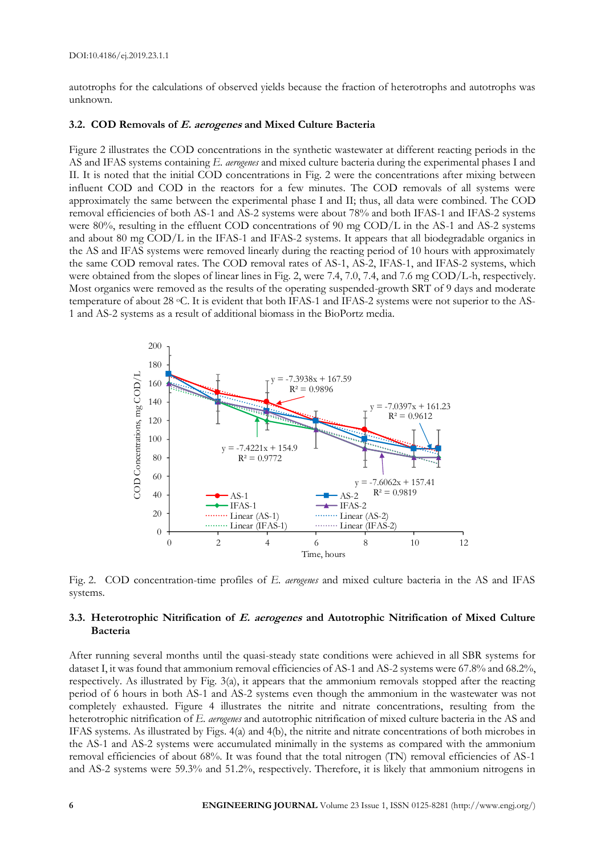autotrophs for the calculations of observed yields because the fraction of heterotrophs and autotrophs was unknown.

#### **3.2. COD Removals of E. aerogenes and Mixed Culture Bacteria**

Figure 2 illustrates the COD concentrations in the synthetic wastewater at different reacting periods in the AS and IFAS systems containing *E. aerogenes* and mixed culture bacteria during the experimental phases I and II. It is noted that the initial COD concentrations in Fig. 2 were the concentrations after mixing between influent COD and COD in the reactors for a few minutes. The COD removals of all systems were approximately the same between the experimental phase I and II; thus, all data were combined. The COD removal efficiencies of both AS-1 and AS-2 systems were about 78% and both IFAS-1 and IFAS-2 systems were 80%, resulting in the effluent COD concentrations of 90 mg COD/L in the AS-1 and AS-2 systems and about 80 mg COD/L in the IFAS-1 and IFAS-2 systems. It appears that all biodegradable organics in the AS and IFAS systems were removed linearly during the reacting period of 10 hours with approximately the same COD removal rates. The COD removal rates of AS-1, AS-2, IFAS-1, and IFAS-2 systems, which were obtained from the slopes of linear lines in Fig. 2, were 7.4, 7.0, 7.4, and 7.6 mg COD/L-h, respectively. Most organics were removed as the results of the operating suspended-growth SRT of 9 days and moderate temperature of about 28 °C. It is evident that both IFAS-1 and IFAS-2 systems were not superior to the AS-1 and AS-2 systems as a result of additional biomass in the BioPortz media.



Fig. 2. COD concentration-time profiles of *E. aerogenes* and mixed culture bacteria in the AS and IFAS systems.

#### **3.3. Heterotrophic Nitrification of E. aerogenes and Autotrophic Nitrification of Mixed Culture Bacteria**

After running several months until the quasi-steady state conditions were achieved in all SBR systems for dataset I, it was found that ammonium removal efficiencies of AS-1 and AS-2 systems were 67.8% and 68.2%, respectively. As illustrated by Fig. 3(a), it appears that the ammonium removals stopped after the reacting period of 6 hours in both AS-1 and AS-2 systems even though the ammonium in the wastewater was not completely exhausted. Figure 4 illustrates the nitrite and nitrate concentrations, resulting from the heterotrophic nitrification of *E. aerogenes* and autotrophic nitrification of mixed culture bacteria in the AS and IFAS systems. As illustrated by Figs. 4(a) and 4(b), the nitrite and nitrate concentrations of both microbes in the AS-1 and AS-2 systems were accumulated minimally in the systems as compared with the ammonium removal efficiencies of about 68%. It was found that the total nitrogen (TN) removal efficiencies of AS-1 and AS-2 systems were 59.3% and 51.2%, respectively. Therefore, it is likely that ammonium nitrogens in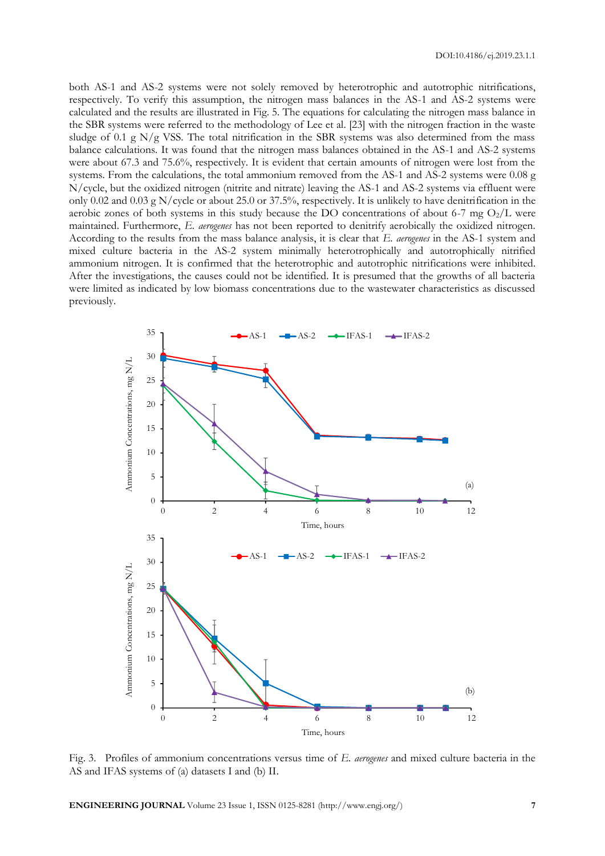both AS-1 and AS-2 systems were not solely removed by heterotrophic and autotrophic nitrifications, respectively. To verify this assumption, the nitrogen mass balances in the AS-1 and AS-2 systems were calculated and the results are illustrated in Fig. 5. The equations for calculating the nitrogen mass balance in the SBR systems were referred to the methodology of Lee et al. [23] with the nitrogen fraction in the waste sludge of 0.1 g  $N/g$  VSS. The total nitrification in the SBR systems was also determined from the mass balance calculations. It was found that the nitrogen mass balances obtained in the AS-1 and AS-2 systems were about 67.3 and 75.6%, respectively. It is evident that certain amounts of nitrogen were lost from the systems. From the calculations, the total ammonium removed from the AS-1 and AS-2 systems were 0.08 g N/cycle, but the oxidized nitrogen (nitrite and nitrate) leaving the AS-1 and AS-2 systems via effluent were only 0.02 and 0.03 g N/cycle or about 25.0 or 37.5%, respectively. It is unlikely to have denitrification in the aerobic zones of both systems in this study because the DO concentrations of about 6-7 mg  $O_2/L$  were maintained. Furthermore, *E. aerogenes* has not been reported to denitrify aerobically the oxidized nitrogen. According to the results from the mass balance analysis, it is clear that *E. aerogenes* in the AS-1 system and mixed culture bacteria in the AS-2 system minimally heterotrophically and autotrophically nitrified ammonium nitrogen. It is confirmed that the heterotrophic and autotrophic nitrifications were inhibited. After the investigations, the causes could not be identified. It is presumed that the growths of all bacteria were limited as indicated by low biomass concentrations due to the wastewater characteristics as discussed previously.



Fig. 3. Profiles of ammonium concentrations versus time of *E. aerogenes* and mixed culture bacteria in the AS and IFAS systems of (a) datasets I and (b) II.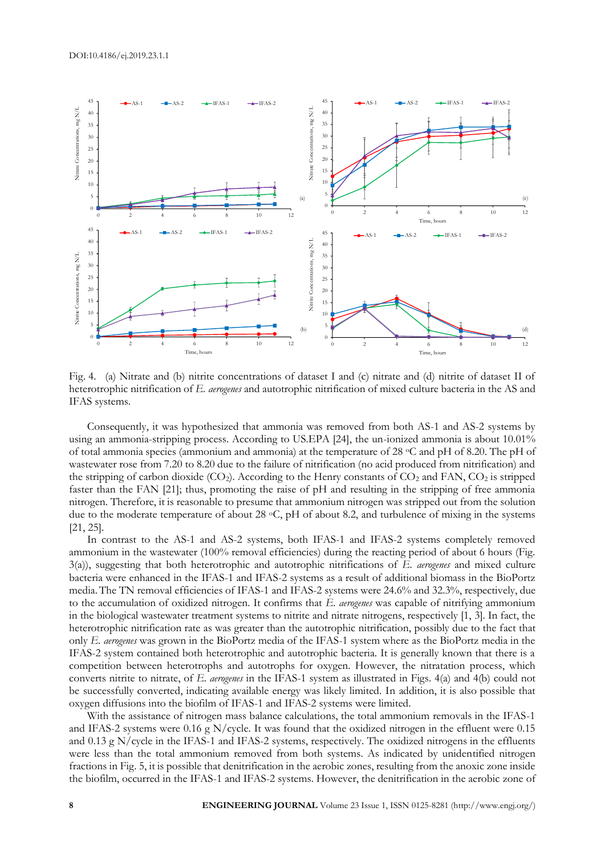

Fig. 4. (a) Nitrate and (b) nitrite concentrations of dataset I and (c) nitrate and (d) nitrite of dataset II of heterotrophic nitrification of *E. aerogenes* and autotrophic nitrification of mixed culture bacteria in the AS and IFAS systems.

Consequently, it was hypothesized that ammonia was removed from both AS-1 and AS-2 systems by using an ammonia-stripping process. According to US.EPA [24], the un-ionized ammonia is about 10.01% of total ammonia species (ammonium and ammonia) at the temperature of 28 oC and pH of 8.20. The pH of wastewater rose from 7.20 to 8.20 due to the failure of nitrification (no acid produced from nitrification) and the stripping of carbon dioxide (CO<sub>2</sub>). According to the Henry constants of CO<sub>2</sub> and FAN, CO<sub>2</sub> is stripped faster than the FAN [21]; thus, promoting the raise of pH and resulting in the stripping of free ammonia nitrogen. Therefore, it is reasonable to presume that ammonium nitrogen was stripped out from the solution due to the moderate temperature of about 28 °C, pH of about 8.2, and turbulence of mixing in the systems [21, 25].

In contrast to the AS-1 and AS-2 systems, both IFAS-1 and IFAS-2 systems completely removed ammonium in the wastewater (100% removal efficiencies) during the reacting period of about 6 hours (Fig. 3(a)), suggesting that both heterotrophic and autotrophic nitrifications of *E. aerogenes* and mixed culture bacteria were enhanced in the IFAS-1 and IFAS-2 systems as a result of additional biomass in the BioPortz media.The TN removal efficiencies of IFAS-1 and IFAS-2 systems were 24.6% and 32.3%, respectively, due to the accumulation of oxidized nitrogen. It confirms that *E. aerogenes* was capable of nitrifying ammonium in the biological wastewater treatment systems to nitrite and nitrate nitrogens, respectively [1, 3]. In fact, the heterotrophic nitrification rate as was greater than the autotrophic nitrification, possibly due to the fact that only *E. aerogenes* was grown in the BioPortz media of the IFAS-1 system where as the BioPortz media in the IFAS-2 system contained both heterotrophic and autotrophic bacteria. It is generally known that there is a competition between heterotrophs and autotrophs for oxygen. However, the nitratation process, which converts nitrite to nitrate, of *E. aerogenes* in the IFAS-1 system as illustrated in Figs. 4(a) and 4(b) could not be successfully converted, indicating available energy was likely limited. In addition, it is also possible that oxygen diffusions into the biofilm of IFAS-1 and IFAS-2 systems were limited.

With the assistance of nitrogen mass balance calculations, the total ammonium removals in the IFAS-1 and IFAS-2 systems were 0.16 g N/cycle. It was found that the oxidized nitrogen in the effluent were 0.15 and 0.13 g N/cycle in the IFAS-1 and IFAS-2 systems, respectively. The oxidized nitrogens in the effluents were less than the total ammonium removed from both systems. As indicated by unidentified nitrogen fractions in Fig. 5, it is possible that denitrification in the aerobic zones, resulting from the anoxic zone inside the biofilm, occurred in the IFAS-1 and IFAS-2 systems. However, the denitrification in the aerobic zone of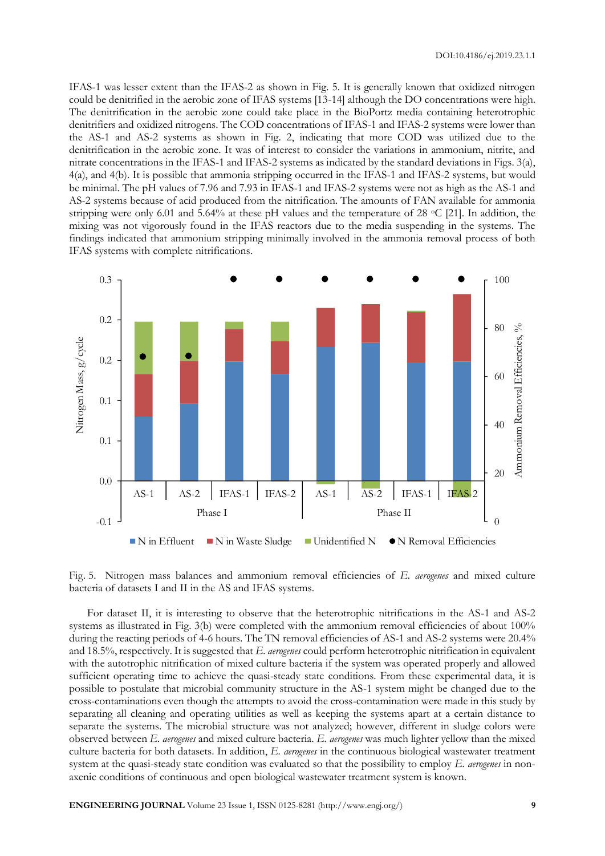DOI:10.4186/ej.2019.23.1.1

IFAS-1 was lesser extent than the IFAS-2 as shown in Fig. 5. It is generally known that oxidized nitrogen could be denitrified in the aerobic zone of IFAS systems [13-14] although the DO concentrations were high. The denitrification in the aerobic zone could take place in the BioPortz media containing heterotrophic denitrifiers and oxidized nitrogens. The COD concentrations of IFAS-1 and IFAS-2 systems were lower than the AS-1 and AS-2 systems as shown in Fig. 2, indicating that more COD was utilized due to the denitrification in the aerobic zone. It was of interest to consider the variations in ammonium, nitrite, and nitrate concentrations in the IFAS-1 and IFAS-2 systems as indicated by the standard deviations in Figs. 3(a), 4(a), and 4(b). It is possible that ammonia stripping occurred in the IFAS-1 and IFAS-2 systems, but would be minimal. The pH values of 7.96 and 7.93 in IFAS-1 and IFAS-2 systems were not as high as the AS-1 and AS-2 systems because of acid produced from the nitrification. The amounts of FAN available for ammonia stripping were only 6.01 and 5.64% at these pH values and the temperature of 28  $\,^{\circ}$ C [21]. In addition, the mixing was not vigorously found in the IFAS reactors due to the media suspending in the systems. The findings indicated that ammonium stripping minimally involved in the ammonia removal process of both IFAS systems with complete nitrifications.



Fig. 5. Nitrogen mass balances and ammonium removal efficiencies of *E. aerogenes* and mixed culture bacteria of datasets I and II in the AS and IFAS systems.

For dataset II, it is interesting to observe that the heterotrophic nitrifications in the AS-1 and AS-2 systems as illustrated in Fig. 3(b) were completed with the ammonium removal efficiencies of about 100% during the reacting periods of 4-6 hours. The TN removal efficiencies of AS-1 and AS-2 systems were 20.4% and 18.5%, respectively. It is suggested that *E. aerogenes* could perform heterotrophic nitrification in equivalent with the autotrophic nitrification of mixed culture bacteria if the system was operated properly and allowed sufficient operating time to achieve the quasi-steady state conditions. From these experimental data, it is possible to postulate that microbial community structure in the AS-1 system might be changed due to the cross-contaminations even though the attempts to avoid the cross-contamination were made in this study by separating all cleaning and operating utilities as well as keeping the systems apart at a certain distance to separate the systems. The microbial structure was not analyzed; however, different in sludge colors were observed between *E. aerogenes* and mixed culture bacteria. *E. aerogenes* was much lighter yellow than the mixed culture bacteria for both datasets. In addition, *E. aerogenes* in the continuous biological wastewater treatment system at the quasi-steady state condition was evaluated so that the possibility to employ *E. aerogenes* in nonaxenic conditions of continuous and open biological wastewater treatment system is known.

**ENGINEERING JOURNAL** Volume 23 Issue 1, ISSN 0125-8281 (http://www.engj.org/) **9**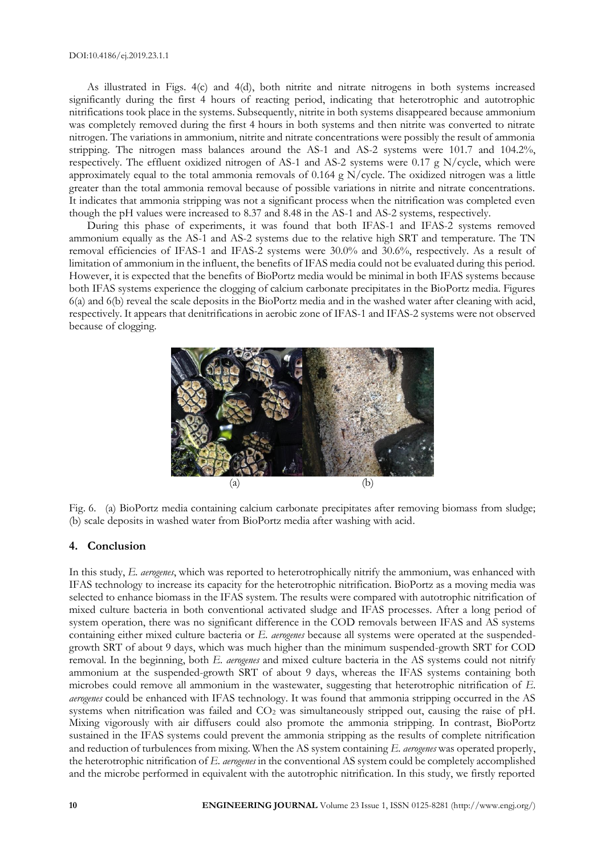As illustrated in Figs. 4(c) and 4(d), both nitrite and nitrate nitrogens in both systems increased significantly during the first 4 hours of reacting period, indicating that heterotrophic and autotrophic nitrifications took place in the systems. Subsequently, nitrite in both systems disappeared because ammonium was completely removed during the first 4 hours in both systems and then nitrite was converted to nitrate nitrogen. The variations in ammonium, nitrite and nitrate concentrations were possibly the result of ammonia stripping. The nitrogen mass balances around the AS-1 and AS-2 systems were 101.7 and 104.2%, respectively. The effluent oxidized nitrogen of AS-1 and AS-2 systems were 0.17 g N/cycle, which were approximately equal to the total ammonia removals of 0.164 g  $N/cycle$ . The oxidized nitrogen was a little greater than the total ammonia removal because of possible variations in nitrite and nitrate concentrations. It indicates that ammonia stripping was not a significant process when the nitrification was completed even though the pH values were increased to 8.37 and 8.48 in the AS-1 and AS-2 systems, respectively.

During this phase of experiments, it was found that both IFAS-1 and IFAS-2 systems removed ammonium equally as the AS-1 and AS-2 systems due to the relative high SRT and temperature. The TN removal efficiencies of IFAS-1 and IFAS-2 systems were 30.0% and 30.6%, respectively. As a result of limitation of ammonium in the influent, the benefits of IFAS media could not be evaluated during this period. However, it is expected that the benefits of BioPortz media would be minimal in both IFAS systems because both IFAS systems experience the clogging of calcium carbonate precipitates in the BioPortz media. Figures 6(a) and 6(b) reveal the scale deposits in the BioPortz media and in the washed water after cleaning with acid, respectively. It appears that denitrifications in aerobic zone of IFAS-1 and IFAS-2 systems were not observed because of clogging.



Fig. 6. (a) BioPortz media containing calcium carbonate precipitates after removing biomass from sludge; (b) scale deposits in washed water from BioPortz media after washing with acid.

#### **4. Conclusion**

In this study, *E. aerogenes*, which was reported to heterotrophically nitrify the ammonium, was enhanced with IFAS technology to increase its capacity for the heterotrophic nitrification. BioPortz as a moving media was selected to enhance biomass in the IFAS system. The results were compared with autotrophic nitrification of mixed culture bacteria in both conventional activated sludge and IFAS processes. After a long period of system operation, there was no significant difference in the COD removals between IFAS and AS systems containing either mixed culture bacteria or *E. aerogenes* because all systems were operated at the suspendedgrowth SRT of about 9 days, which was much higher than the minimum suspended-growth SRT for COD removal. In the beginning, both *E. aerogenes* and mixed culture bacteria in the AS systems could not nitrify ammonium at the suspended-growth SRT of about 9 days, whereas the IFAS systems containing both microbes could remove all ammonium in the wastewater, suggesting that heterotrophic nitrification of *E. aerogenes* could be enhanced with IFAS technology. It was found that ammonia stripping occurred in the AS systems when nitrification was failed and  $CO<sub>2</sub>$  was simultaneously stripped out, causing the raise of pH. Mixing vigorously with air diffusers could also promote the ammonia stripping. In contrast, BioPortz sustained in the IFAS systems could prevent the ammonia stripping as the results of complete nitrification and reduction of turbulences from mixing. When the AS system containing *E. aerogenes* was operated properly, the heterotrophic nitrification of *E. aerogenes* in the conventional AS system could be completely accomplished and the microbe performed in equivalent with the autotrophic nitrification. In this study, we firstly reported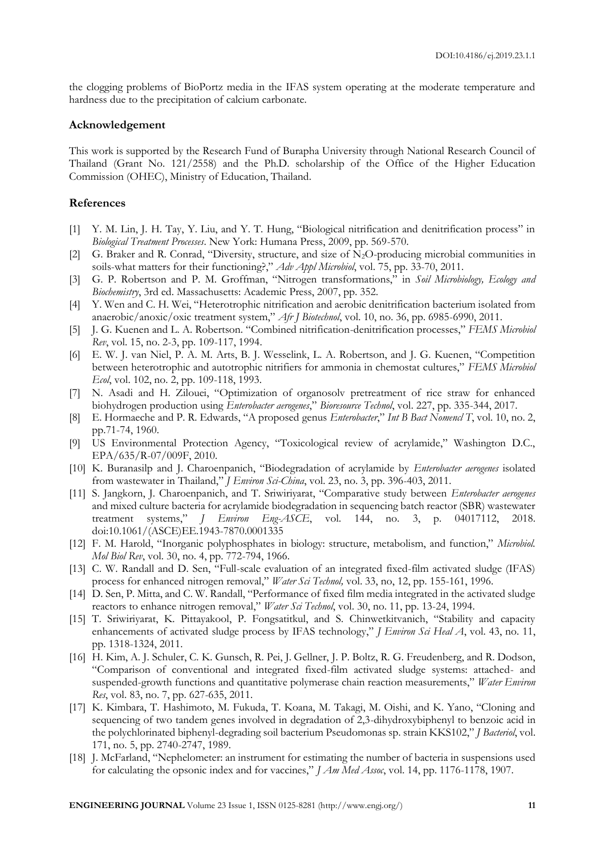the clogging problems of BioPortz media in the IFAS system operating at the moderate temperature and hardness due to the precipitation of calcium carbonate.

#### **Acknowledgement**

This work is supported by the Research Fund of Burapha University through National Research Council of Thailand (Grant No. 121/2558) and the Ph.D. scholarship of the Office of the Higher Education Commission (OHEC), Ministry of Education, Thailand.

#### **References**

- [1] Y. M. Lin, J. H. Tay, Y. Liu, and Y. T. Hung, "Biological nitrification and denitrification process" in *Biological Treatment Processes*. New York: Humana Press, 2009, pp. 569-570.
- [2] G. Braker and R. Conrad, "Diversity, structure, and size of  $N_2O$ -producing microbial communities in soils-what matters for their functioning?," *Adv Appl Microbiol*, vol. 75, pp. 33-70, 2011.
- [3] G. P. Robertson and P. M. Groffman, "Nitrogen transformations," in *Soil Microbiology, Ecology and Biochemistry*, 3rd ed. Massachusetts: Academic Press, 2007, pp. 352.
- [4] Y. Wen and C. H. Wei, "Heterotrophic nitrification and aerobic denitrification bacterium isolated from anaerobic/anoxic/oxic treatment system," *Afr J Biotechnol*, vol. 10, no. 36, pp. 6985-6990, 2011.
- [5] J. G. Kuenen and L. A. Robertson. "Combined nitrification-denitrification processes," *FEMS Microbiol Rev*, vol. 15, no. 2-3, pp. 109-117, 1994.
- [6] E. W. J. van Niel, P. A. M. Arts, B. J. Wesselink, L. A. Robertson, and J. G. Kuenen, "Competition between heterotrophic and autotrophic nitrifiers for ammonia in chemostat cultures," *FEMS Microbiol Ecol*, vol. 102, no. 2, pp. 109-118, 1993.
- [7] N. Asadi and H. Zilouei, "Optimization of organosolv pretreatment of rice straw for enhanced biohydrogen production using *Enterobacter aerogenes*," *Bioresource Technol*, vol. 227, pp. 335-344, 2017.
- [8] E. Hormaeche and P. R. Edwards, "A proposed genus *Enterobacter*," *Int B Bact Nomencl T*, vol. 10, no. 2, pp.71-74, 1960.
- [9] US Environmental Protection Agency, "Toxicological review of acrylamide," Washington D.C., EPA/635/R-07/009F, 2010.
- [10] K. Buranasilp and J. Charoenpanich, "Biodegradation of acrylamide by *Enterobacter aerogenes* isolated from wastewater in Thailand," *J Environ Sci-China*, vol. 23, no. 3, pp. 396-403, 2011.
- [11] S. Jangkorn, J. Charoenpanich, and T. Sriwiriyarat, "Comparative study between *Enterobacter aerogenes* and mixed culture bacteria for acrylamide biodegradation in sequencing batch reactor (SBR) wastewater treatment systems," *J Environ Eng-ASCE*, vol. 144, no. 3, p. 04017112, 2018. doi:10.1061/(ASCE)EE.1943-7870.0001335
- [12] F. M. Harold, "Inorganic polyphosphates in biology: structure, metabolism, and function," *Microbiol. Mol Biol Rev*, vol. 30, no. 4, pp. 772-794, 1966.
- [13] C. W. Randall and D. Sen, "Full-scale evaluation of an integrated fixed-film activated sludge (IFAS) process for enhanced nitrogen removal," *Water Sci Technol,* vol. 33, no, 12, pp. 155-161, 1996.
- [14] D. Sen, P. Mitta, and C. W. Randall, "Performance of fixed film media integrated in the activated sludge reactors to enhance nitrogen removal," *Water Sci Technol*, vol. 30, no. 11, pp. 13-24, 1994.
- [15] T. Sriwiriyarat, K. Pittayakool, P. Fongsatitkul, and S. Chinwetkitvanich, "Stability and capacity enhancements of activated sludge process by IFAS technology," *J Environ Sci Heal A*, vol. 43, no. 11, pp. 1318-1324, 2011.
- [16] H. Kim, A. J. Schuler, C. K. Gunsch, R. Pei, J. Gellner, J. P. Boltz, R. G. Freudenberg, and R. Dodson, "Comparison of conventional and integrated fixed-film activated sludge systems: attached- and suspended-growth functions and quantitative polymerase chain reaction measurements," *Water Environ Res*, vol. 83, no. 7, pp. 627-635, 2011.
- [17] K. Kimbara, T. Hashimoto, M. Fukuda, T. Koana, M. Takagi, M. Oishi, and K. Yano, "Cloning and sequencing of two tandem genes involved in degradation of 2,3-dihydroxybiphenyl to benzoic acid in the polychlorinated biphenyl-degrading soil bacterium Pseudomonas sp. strain KKS102," *J Bacteriol*, vol. 171, no. 5, pp. 2740-2747, 1989.
- [18] J. McFarland, "Nephelometer: an instrument for estimating the number of bacteria in suspensions used for calculating the opsonic index and for vaccines," *J Am Med Assoc*, vol. 14, pp. 1176-1178, 1907.